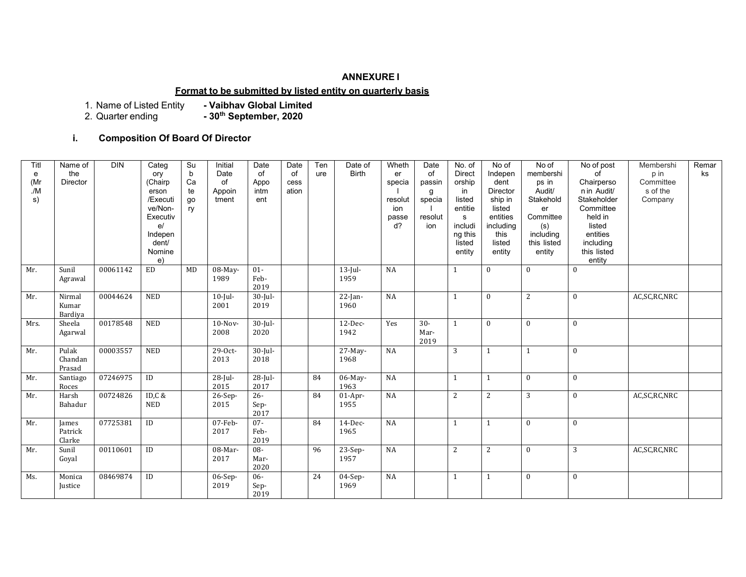#### **ANNEXURE I**

## **Format to be submitted by listed entity on quarterly basis**

1. Name of Listed Entity<br>2. Quarter ending

- Vaibhav Global Limited<br>- 30<sup>th</sup> September, 2020

## **i. Composition Of Board Of Director**

| Titl<br>e<br>(Mr<br>/M<br>s) | Name of<br>the<br>Director | <b>DIN</b> | Categ<br>ory<br>(Chairp<br>erson<br>/Executi<br>ve/Non-<br>Executiv<br>e/<br>Indepen<br>dent/<br>Nomine<br>e) | Su<br>b<br>Ca<br>te<br>go<br>ry | Initial<br>Date<br>of<br>Appoin<br>tment | Date<br>of<br>Appo<br>intm<br>ent | Date<br>of<br>cess<br>ation | Ten<br>ure | Date of<br><b>Birth</b> | Wheth<br>er<br>specia<br>resolut<br>ion<br>passe<br>$d$ ? | Date<br>of<br>passin<br>g<br>specia<br>resolut<br>ion | No. of<br><b>Direct</b><br>orship<br>in<br>listed<br>entitie<br>s<br>includi<br>ng this<br>listed<br>entity | No of<br>Indepen<br>dent<br>Director<br>ship in<br>listed<br>entities<br>including<br>this<br>listed<br>entity | No of<br>membershi<br>ps in<br>Audit/<br>Stakehold<br>er<br>Committee<br>(s)<br>including<br>this listed<br>entity | No of post<br>of<br>Chairperso<br>n in Audit/<br>Stakeholder<br>Committee<br>held in<br>listed<br>entities<br>including<br>this listed<br>entity | Membershi<br>p in<br>Committee<br>s of the<br>Company | Remar<br>ks |
|------------------------------|----------------------------|------------|---------------------------------------------------------------------------------------------------------------|---------------------------------|------------------------------------------|-----------------------------------|-----------------------------|------------|-------------------------|-----------------------------------------------------------|-------------------------------------------------------|-------------------------------------------------------------------------------------------------------------|----------------------------------------------------------------------------------------------------------------|--------------------------------------------------------------------------------------------------------------------|--------------------------------------------------------------------------------------------------------------------------------------------------|-------------------------------------------------------|-------------|
| Mr.                          | Sunil<br>Agrawal           | 00061142   | ED                                                                                                            | <b>MD</b>                       | 08-May-<br>1989                          | $01 -$<br>Feb-<br>2019            |                             |            | $13$ -Jul-<br>1959      | NA                                                        |                                                       | 1                                                                                                           | $\mathbf{0}$                                                                                                   | $\mathbf{0}$                                                                                                       | $\mathbf{0}$                                                                                                                                     |                                                       |             |
| Mr.                          | Nirmal<br>Kumar<br>Bardiya | 00044624   | <b>NED</b>                                                                                                    |                                 | $10$ -Jul-<br>2001                       | $30$ -Jul-<br>2019                |                             |            | $22$ -Jan-<br>1960      | NA                                                        |                                                       | $\mathbf{1}$                                                                                                | $\mathbf{0}$                                                                                                   | 2                                                                                                                  | $\mathbf{0}$                                                                                                                                     | AC, SC, RC, NRC                                       |             |
| Mrs.                         | Sheela<br>Agarwal          | 00178548   | <b>NED</b>                                                                                                    |                                 | $10-Nov-$<br>2008                        | $30$ -Jul-<br>2020                |                             |            | $12$ -Dec-<br>1942      | Yes                                                       | $30 -$<br>Mar-<br>2019                                | $\mathbf{1}$                                                                                                | $\mathbf{0}$                                                                                                   | $\mathbf{0}$                                                                                                       | $\mathbf{0}$                                                                                                                                     |                                                       |             |
| Mr.                          | Pulak<br>Chandan<br>Prasad | 00003557   | <b>NED</b>                                                                                                    |                                 | 29-0ct-<br>2013                          | $30$ -Jul-<br>2018                |                             |            | 27-May-<br>1968         | NA                                                        |                                                       | 3                                                                                                           | $\mathbf{1}$                                                                                                   | $\mathbf{1}$                                                                                                       | $\mathbf{0}$                                                                                                                                     |                                                       |             |
| Mr.                          | Santiago<br>Roces          | 07246975   | ID                                                                                                            |                                 | $28$ -Jul-<br>2015                       | $28$ -Jul-<br>2017                |                             | 84         | 06-May-<br>1963         | NA                                                        |                                                       | $\mathbf{1}$                                                                                                | $\mathbf{1}$                                                                                                   | $\mathbf{0}$                                                                                                       | $\mathbf{0}$                                                                                                                                     |                                                       |             |
| Mr.                          | Harsh<br>Bahadur           | 00724826   | ID,C &<br><b>NED</b>                                                                                          |                                 | 26-Sep-<br>2015                          | $26 -$<br>Sep-<br>2017            |                             | 84         | $01-Apr-$<br>1955       | $_{\rm NA}$                                               |                                                       | $\mathbf{2}$                                                                                                | $\overline{2}$                                                                                                 | 3                                                                                                                  | $\mathbf{0}$                                                                                                                                     | AC, SC, RC, NRC                                       |             |
| Mr.                          | James<br>Patrick<br>Clarke | 07725381   | $\rm ID$                                                                                                      |                                 | $07$ -Feb-<br>2017                       | $07 -$<br>Feb-<br>2019            |                             | 84         | $14$ -Dec-<br>1965      | NA                                                        |                                                       | $\mathbf{1}$                                                                                                | $\mathbf{1}$                                                                                                   | $\mathbf{0}$                                                                                                       | $\mathbf{0}$                                                                                                                                     |                                                       |             |
| Mr.                          | Sunil<br>Goyal             | 00110601   | ID                                                                                                            |                                 | 08-Mar-<br>2017                          | 08-<br>Mar-<br>2020               |                             | 96         | 23-Sep-<br>1957         | NA                                                        |                                                       | $\overline{c}$                                                                                              | $\mathbf{2}$                                                                                                   | $\mathbf{0}$                                                                                                       | 3                                                                                                                                                | AC, SC, RC, NRC                                       |             |
| Ms.                          | Monica<br>Justice          | 08469874   | ID                                                                                                            |                                 | $06-Sep-$<br>2019                        | $06 -$<br>Sep-<br>2019            |                             | 24         | $04-Sep-$<br>1969       | NA                                                        |                                                       | $\mathbf{1}$                                                                                                | $\mathbf{1}$                                                                                                   | $\mathbf{0}$                                                                                                       | $\mathbf{0}$                                                                                                                                     |                                                       |             |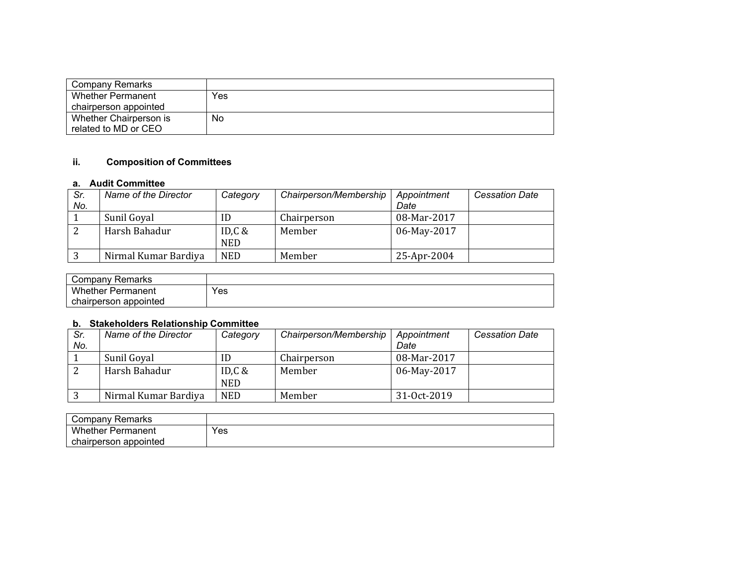| Company Remarks          |     |
|--------------------------|-----|
| <b>Whether Permanent</b> | Yes |
| chairperson appointed    |     |
| Whether Chairperson is   | No  |
| related to MD or CEO     |     |

# **ii. Composition of Committees**

#### **a. Audit Committee**

| Sr.<br>No. | Name of the Director | Category                | Chairperson/Membership | Appointment<br>Date | <b>Cessation Date</b> |
|------------|----------------------|-------------------------|------------------------|---------------------|-----------------------|
|            | Sunil Goyal          | ID                      | Chairperson            | 08-Mar-2017         |                       |
| ົ          | Harsh Bahadur        | ID, $C$ &<br><b>NED</b> | Member                 | 06-May-2017         |                       |
|            | Nirmal Kumar Bardiya | <b>NED</b>              | Member                 | 25-Apr-2004         |                       |

| Company Remarks          |     |
|--------------------------|-----|
| <b>Whether Permanent</b> | Yes |
| chairperson appointed    |     |

## **b. Stakeholders Relationship Committee**

| Sr.<br>No. | Name of the Director | Category                | Chairperson/Membership | Appointment<br>Date | <b>Cessation Date</b> |
|------------|----------------------|-------------------------|------------------------|---------------------|-----------------------|
|            | Sunil Goyal          | ID                      | Chairperson            | 08-Mar-2017         |                       |
| ∠          | Harsh Bahadur        | ID, $C &$<br><b>NED</b> | Member                 | 06-May-2017         |                       |
|            | Nirmal Kumar Bardiya | <b>NED</b>              | Member                 | 31-Oct-2019         |                       |

| Company Remarks               |     |
|-------------------------------|-----|
| <b>Whether F</b><br>Permanent | Yes |
| chairperson appointed         |     |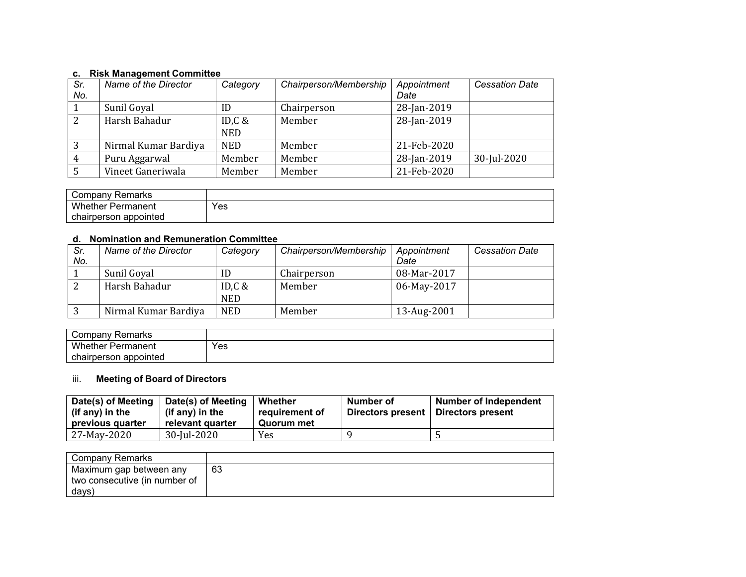## **c. Risk Management Committee**

| Sr.<br>No. | Name of the Director | Category                | Chairperson/Membership | Appointment<br>Date | <b>Cessation Date</b> |
|------------|----------------------|-------------------------|------------------------|---------------------|-----------------------|
|            | Sunil Goyal          | ID                      | Chairperson            | 28-Jan-2019         |                       |
|            | Harsh Bahadur        | ID, $C$ &<br><b>NED</b> | Member                 | 28-Jan-2019         |                       |
| 3          | Nirmal Kumar Bardiya | <b>NED</b>              | Member                 | 21-Feb-2020         |                       |
|            | Puru Aggarwal        | Member                  | Member                 | 28-Jan-2019         | 30-Jul-2020           |
|            | Vineet Ganeriwala    | Member                  | Member                 | 21-Feb-2020         |                       |

| Company Remarks          |     |
|--------------------------|-----|
| <b>Whether Permanent</b> | Yes |
| chairperson appointed    |     |

### **d. Nomination and Remuneration Committee**

| Sr.<br>No. | Name of the Director | Category               | Chairperson/Membership | Appointment<br>Date | <b>Cessation Date</b> |
|------------|----------------------|------------------------|------------------------|---------------------|-----------------------|
|            | Sunil Goyal          | ID                     | Chairperson            | 08-Mar-2017         |                       |
|            | Harsh Bahadur        | ID,C $&$<br><b>NED</b> | Member                 | 06-May-2017         |                       |
| 3          | Nirmal Kumar Bardiya | <b>NED</b>             | Member                 | 13-Aug-2001         |                       |

| $\overline{\phantom{a}}$<br>Remarks<br>`omnanv<br><b>COLLIDALI</b> |     |
|--------------------------------------------------------------------|-----|
| Whether,<br><sup>∙</sup> Permanent                                 | Yes |
| appointed<br>chairperson                                           |     |

# iii. **Meeting of Board of Directors**

| Date(s) of Meeting<br>(if any) in the<br>previous quarter | Date(s) of Meeting<br>(if any) in the<br>relevant quarter | Whether<br>requirement of<br>Quorum met | Number of<br>Directors present | <b>Number of Independent</b><br>Directors present |
|-----------------------------------------------------------|-----------------------------------------------------------|-----------------------------------------|--------------------------------|---------------------------------------------------|
| 27-May-2020                                               | 30-Jul-2020                                               | Yes.                                    |                                |                                                   |

| Company Remarks               |    |
|-------------------------------|----|
| Maximum gap between any       | 63 |
| two consecutive (in number of |    |
| days)                         |    |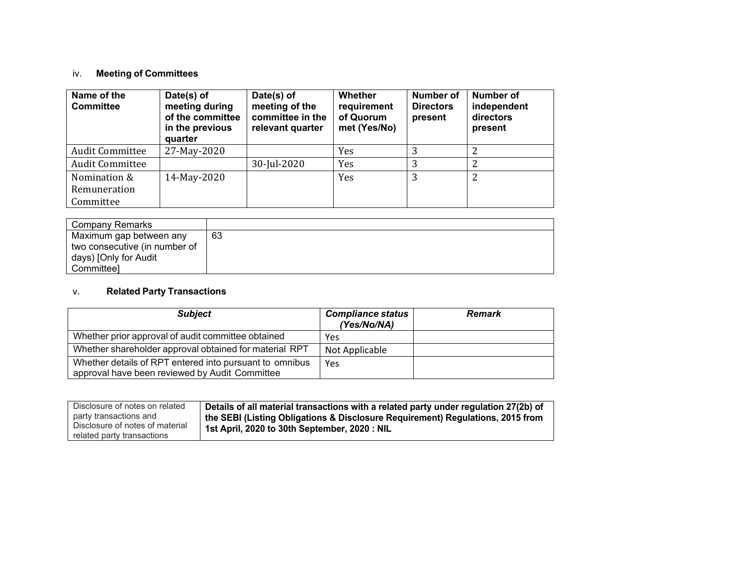# iv. **Meeting of Committees**

| Name of the<br><b>Committee</b> | Date(s) of<br>meeting during<br>of the committee<br>in the previous<br>quarter | Date(s) of<br>meeting of the<br>committee in the<br>relevant quarter | Whether<br>requirement<br>of Quorum<br>met (Yes/No) | <b>Number of</b><br><b>Directors</b><br>present | Number of<br>independent<br>directors<br>present |
|---------------------------------|--------------------------------------------------------------------------------|----------------------------------------------------------------------|-----------------------------------------------------|-------------------------------------------------|--------------------------------------------------|
| <b>Audit Committee</b>          | 27-May-2020                                                                    |                                                                      | Yes                                                 | 3                                               |                                                  |
| <b>Audit Committee</b>          |                                                                                | 30-Jul-2020                                                          | Yes                                                 | 3                                               | 2                                                |
| Nomination &                    | 14-May-2020                                                                    |                                                                      | Yes                                                 | 3                                               | 2                                                |
| Remuneration                    |                                                                                |                                                                      |                                                     |                                                 |                                                  |
| Committee                       |                                                                                |                                                                      |                                                     |                                                 |                                                  |

| Company Remarks               |    |
|-------------------------------|----|
| Maximum gap between any       | 63 |
| two consecutive (in number of |    |
| days) [Only for Audit         |    |
| Committeel                    |    |

#### v.**Related Party Transactions**

| <b>Subject</b>                                                                                            | <b>Compliance status</b><br>(Yes/No/NA) | <b>Remark</b> |
|-----------------------------------------------------------------------------------------------------------|-----------------------------------------|---------------|
| Whether prior approval of audit committee obtained                                                        | Yes                                     |               |
| Whether shareholder approval obtained for material RPT                                                    | Not Applicable                          |               |
| Whether details of RPT entered into pursuant to omnibus<br>approval have been reviewed by Audit Committee | Yes                                     |               |

| Disclosure of notes on related  | Details of all material transactions with a related party under regulation 27(2b) of |
|---------------------------------|--------------------------------------------------------------------------------------|
|                                 |                                                                                      |
| party transactions and          | the SEBI (Listing Obligations & Disclosure Requirement) Regulations, 2015 from       |
|                                 |                                                                                      |
| Disclosure of notes of material |                                                                                      |
|                                 | 1st April, 2020 to 30th September, 2020 : NIL                                        |
| related party transactions      |                                                                                      |
|                                 |                                                                                      |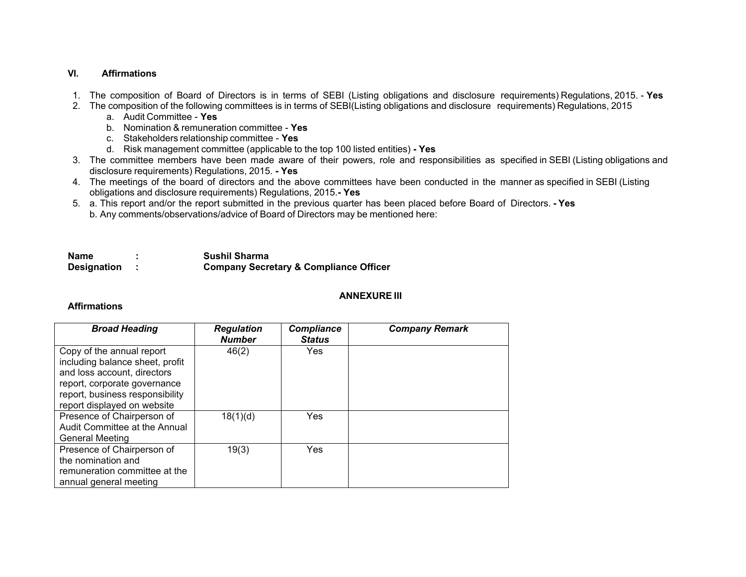## **VI. Affirmations**

- 1. The composition of Board of Directors is in terms of SEBI (Listing obligations and disclosure requirements) Regulations, 2015. **Yes**
- 2. The composition of the following committees is in terms of SEBI(Listing obligations and disclosure requirements) Regulations, 2015
	- a. Audit Committee **Yes**
	- b. Nomination & remuneration committee **Yes**
	- c. Stakeholders relationship committee **Yes**
	- d. Risk management committee (applicable to the top 100 listed entities)  **Yes**
- 3. The committee members have been made aware of their powers, role and responsibilities as specified in SEBI (Listing obligations and disclosure requirements) Regulations, 2015. **- Yes**
- 4. The meetings of the board of directors and the above committees have been conducted in the manner as specified in SEBI (Listing obligations and disclosure requirements) Regulations, 2015.**- Yes**
- 5. a. This report and/or the report submitted in the previous quarter has been placed before Board of Directors.  **Yes** b. Any comments/observations/advice of Board of Directors may be mentioned here:

| Name               | <b>Sushil Sharma</b>                              |
|--------------------|---------------------------------------------------|
| <b>Designation</b> | <b>Company Secretary &amp; Compliance Officer</b> |

### **ANNEXURE III**

### **Affirmations**

| <b>Broad Heading</b>                                                                                                                                                                          | <b>Regulation</b><br><b>Number</b> | <b>Compliance</b><br><b>Status</b> | <b>Company Remark</b> |
|-----------------------------------------------------------------------------------------------------------------------------------------------------------------------------------------------|------------------------------------|------------------------------------|-----------------------|
| Copy of the annual report<br>including balance sheet, profit<br>and loss account, directors<br>report, corporate governance<br>report, business responsibility<br>report displayed on website | 46(2)                              | Yes                                |                       |
| Presence of Chairperson of<br>Audit Committee at the Annual<br>General Meeting                                                                                                                | 18(1)(d)                           | Yes                                |                       |
| Presence of Chairperson of<br>the nomination and<br>remuneration committee at the<br>annual general meeting                                                                                   | 19(3)                              | Yes                                |                       |